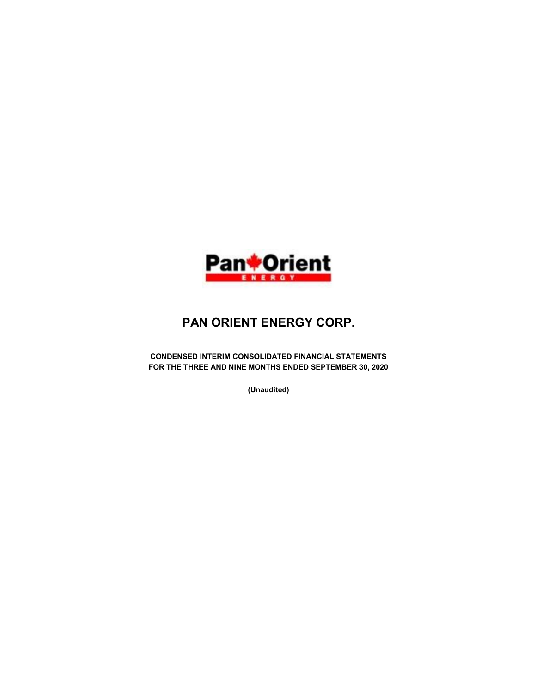

# PAN ORIENT ENERGY CORP.

CONDENSED INTERIM CONSOLIDATED FINANCIAL STATEMENTS FOR THE THREE AND NINE MONTHS ENDED SEPTEMBER 30, 2020

(Unaudited)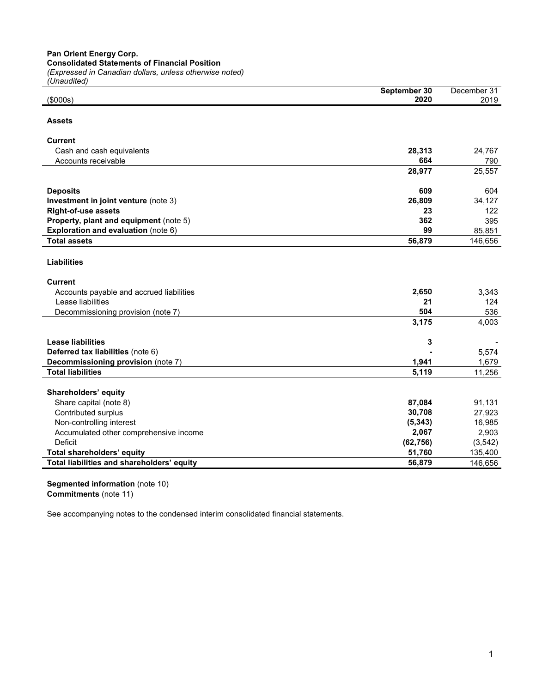Pan Orient Energy Corp.

Consolidated Statements of Financial Position

(Expressed in Canadian dollars, unless otherwise noted)

| (Unaudited)                                |              |             |
|--------------------------------------------|--------------|-------------|
|                                            | September 30 | December 31 |
| (\$000s)                                   | 2020         | 2019        |
| <b>Assets</b>                              |              |             |
| <b>Current</b>                             |              |             |
| Cash and cash equivalents                  | 28,313       | 24,767      |
| Accounts receivable                        | 664          | 790         |
|                                            | 28,977       | 25,557      |
| <b>Deposits</b>                            | 609          | 604         |
| Investment in joint venture (note 3)       | 26,809       | 34,127      |
| <b>Right-of-use assets</b>                 | 23           | 122         |
| Property, plant and equipment (note 5)     | 362          | 395         |
| Exploration and evaluation (note 6)        | 99           | 85,851      |
| <b>Total assets</b>                        | 56,879       | 146,656     |
|                                            |              |             |
| <b>Liabilities</b>                         |              |             |
| <b>Current</b>                             |              |             |
| Accounts payable and accrued liabilities   | 2,650        | 3,343       |
| Lease liabilities                          | 21           | 124         |
| Decommissioning provision (note 7)         | 504          | 536         |
|                                            | 3,175        | 4,003       |
| <b>Lease liabilities</b>                   | 3            |             |
| Deferred tax liabilities (note 6)          |              | 5,574       |
| Decommissioning provision (note 7)         | 1,941        | 1,679       |
| <b>Total liabilities</b>                   | 5,119        | 11,256      |
|                                            |              |             |
| Shareholders' equity                       |              |             |
| Share capital (note 8)                     | 87,084       | 91,131      |
| Contributed surplus                        | 30,708       | 27,923      |
| Non-controlling interest                   | (5, 343)     | 16,985      |
| Accumulated other comprehensive income     | 2,067        | 2,903       |
| Deficit                                    | (62, 756)    | (3, 542)    |
| Total shareholders' equity                 | 51,760       | 135,400     |
| Total liabilities and shareholders' equity | 56,879       | 146,656     |

Segmented information (note 10) Commitments (note 11)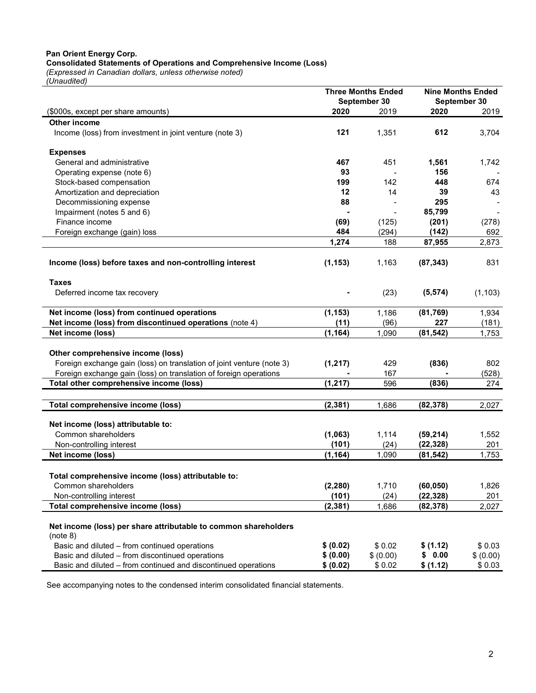#### Pan Orient Energy Corp.

#### Consolidated Statements of Operations and Comprehensive Income (Loss)

(Expressed in Canadian dollars, unless otherwise noted)

| (Unaudited)                                                           |                           |                          |           |                          |
|-----------------------------------------------------------------------|---------------------------|--------------------------|-----------|--------------------------|
|                                                                       | <b>Three Months Ended</b> |                          |           | <b>Nine Months Ended</b> |
|                                                                       | September 30              |                          |           | September 30             |
| (\$000s, except per share amounts)                                    | 2020                      | 2019                     | 2020      | 2019                     |
| <b>Other income</b>                                                   |                           |                          |           |                          |
| Income (loss) from investment in joint venture (note 3)               | 121                       | 1,351                    | 612       | 3,704                    |
|                                                                       |                           |                          |           |                          |
| <b>Expenses</b>                                                       |                           |                          |           |                          |
| General and administrative                                            | 467                       | 451                      | 1,561     | 1,742                    |
| Operating expense (note 6)                                            | 93                        |                          | 156       |                          |
| Stock-based compensation                                              | 199                       | 142                      | 448       | 674                      |
| Amortization and depreciation                                         | 12                        | 14                       | 39        | 43                       |
| Decommissioning expense                                               | 88                        |                          | 295       |                          |
| Impairment (notes 5 and 6)                                            |                           | $\overline{\phantom{a}}$ | 85,799    |                          |
| Finance income                                                        | (69)                      | (125)                    | (201)     | (278)                    |
| Foreign exchange (gain) loss                                          | 484                       | (294)                    | (142)     | 692                      |
|                                                                       | 1,274                     | 188                      | 87,955    | 2,873                    |
|                                                                       |                           |                          |           |                          |
| Income (loss) before taxes and non-controlling interest               | (1, 153)                  | 1,163                    | (87, 343) | 831                      |
|                                                                       |                           |                          |           |                          |
| <b>Taxes</b>                                                          |                           |                          |           |                          |
| Deferred income tax recovery                                          |                           | (23)                     | (5, 574)  | (1, 103)                 |
|                                                                       |                           |                          |           |                          |
| Net income (loss) from continued operations                           | (1, 153)                  | 1,186                    | (81, 769) | 1,934                    |
| Net income (loss) from discontinued operations (note 4)               | (11)                      | (96)                     | 227       | (181)                    |
| Net income (loss)                                                     | (1, 164)                  | 1,090                    | (81, 542) | 1,753                    |
|                                                                       |                           |                          |           |                          |
| Other comprehensive income (loss)                                     |                           |                          |           |                          |
| Foreign exchange gain (loss) on translation of joint venture (note 3) | (1, 217)                  | 429                      | (836)     | 802                      |
| Foreign exchange gain (loss) on translation of foreign operations     |                           | 167                      |           | (528)                    |
| Total other comprehensive income (loss)                               | (1, 217)                  | 596                      | (836)     | 274                      |
|                                                                       |                           |                          |           |                          |
| Total comprehensive income (loss)                                     | (2, 381)                  | 1,686                    | (82, 378) | 2,027                    |
| Net income (loss) attributable to:                                    |                           |                          |           |                          |
| Common shareholders                                                   | (1,063)                   | 1,114                    | (59, 214) | 1,552                    |
| Non-controlling interest                                              | (101)                     | (24)                     | (22, 328) | 201                      |
| Net income (loss)                                                     | (1, 164)                  | 1,090                    | (81, 542) | 1,753                    |
|                                                                       |                           |                          |           |                          |
| Total comprehensive income (loss) attributable to:                    |                           |                          |           |                          |
| Common shareholders                                                   | (2, 280)                  | 1,710                    | (60, 050) | 1,826                    |
| Non-controlling interest                                              | (101)                     | (24)                     | (22, 328) | 201                      |
| Total comprehensive income (loss)                                     | (2, 381)                  | 1,686                    | (82, 378) | 2,027                    |
|                                                                       |                           |                          |           |                          |
| Net income (loss) per share attributable to common shareholders       |                           |                          |           |                          |
| (note 8)                                                              |                           |                          |           |                          |
| Basic and diluted - from continued operations                         | \$ (0.02)                 | \$0.02                   | \$ (1.12) | \$0.03                   |
| Basic and diluted - from discontinued operations                      | \$ (0.00)                 | \$ (0.00)                | \$0.00    | \$ (0.00)                |
| Basic and diluted - from continued and discontinued operations        | \$ (0.02)                 | \$0.02                   | \$ (1.12) | \$0.03                   |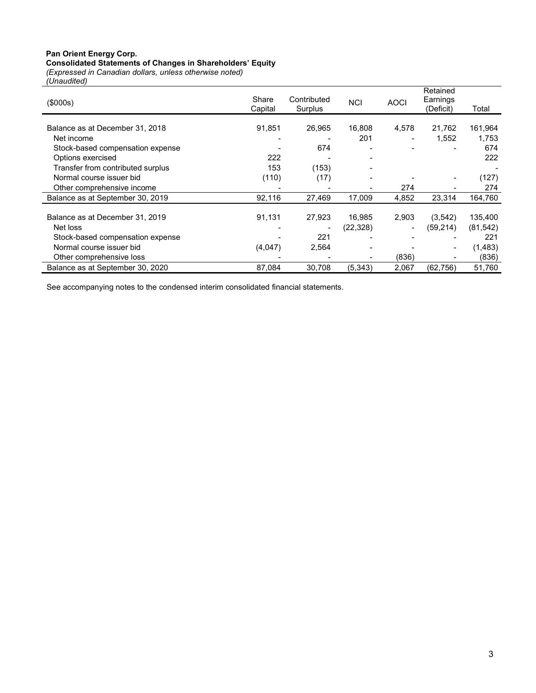#### Pan Orient Energy Corp. Consolidated Statements of Changes in Shareholders' Equity

(Expressed in Canadian dollars, unless otherwise noted)

(Unaudited)

| ----------<br>(\$000s)            | Share<br>Capital | Contributed<br>Surplus | <b>NCI</b> | <b>AOCI</b>              | Retained<br>Earnings<br>(Deficit) | Total     |
|-----------------------------------|------------------|------------------------|------------|--------------------------|-----------------------------------|-----------|
|                                   |                  |                        |            |                          |                                   |           |
| Balance as at December 31, 2018   | 91,851           | 26,965                 | 16,808     | 4,578                    | 21,762                            | 161,964   |
| Net income                        |                  |                        | 201        |                          | 1,552                             | 1,753     |
| Stock-based compensation expense  |                  | 674                    |            |                          |                                   | 674       |
| Options exercised                 | 222              |                        |            |                          |                                   | 222       |
| Transfer from contributed surplus | 153              | (153)                  |            |                          |                                   |           |
| Normal course issuer bid          | (110)            | (17)                   |            |                          |                                   | (127)     |
| Other comprehensive income        |                  |                        |            | 274                      |                                   | 274       |
| Balance as at September 30, 2019  | 92,116           | 27,469                 | 17,009     | 4,852                    | 23,314                            | 164,760   |
|                                   |                  |                        |            |                          |                                   |           |
| Balance as at December 31, 2019   | 91,131           | 27,923                 | 16,985     | 2,903                    | (3, 542)                          | 135,400   |
| Net loss                          |                  |                        | (22, 328)  | $\overline{\phantom{a}}$ | (59, 214)                         | (81, 542) |
| Stock-based compensation expense  |                  | 221                    |            |                          |                                   | 221       |
| Normal course issuer bid          | (4,047)          | 2,564                  |            |                          |                                   | (1,483)   |
| Other comprehensive loss          |                  |                        |            | (836)                    |                                   | (836)     |
| Balance as at September 30, 2020  | 87,084           | 30,708                 | (5,343)    | 2,067                    | (62, 756)                         | 51,760    |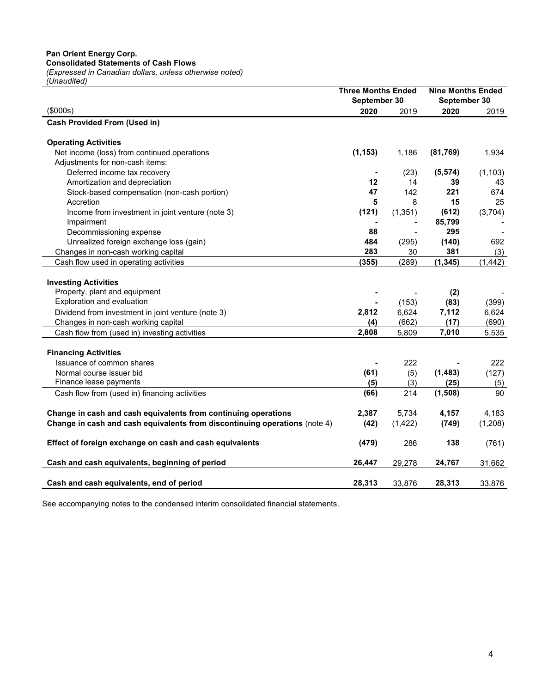# Pan Orient Energy Corp.

Consolidated Statements of Cash Flows (Expressed in Canadian dollars, unless otherwise noted)

| (Unaudited)                                                                |                           |              |                          |              |
|----------------------------------------------------------------------------|---------------------------|--------------|--------------------------|--------------|
|                                                                            | <b>Three Months Ended</b> |              | <b>Nine Months Ended</b> |              |
|                                                                            |                           | September 30 |                          | September 30 |
| (\$000s)                                                                   | 2020                      | 2019         | 2020                     | 2019         |
| <b>Cash Provided From (Used in)</b>                                        |                           |              |                          |              |
|                                                                            |                           |              |                          |              |
| <b>Operating Activities</b>                                                |                           |              |                          |              |
| Net income (loss) from continued operations                                | (1, 153)                  | 1,186        | (81, 769)                | 1,934        |
| Adjustments for non-cash items:                                            |                           |              |                          |              |
| Deferred income tax recovery                                               |                           | (23)         | (5, 574)                 | (1, 103)     |
| Amortization and depreciation                                              | 12                        | 14           | 39                       | 43           |
| Stock-based compensation (non-cash portion)                                | 47                        | 142          | 221                      | 674          |
| Accretion                                                                  | 5                         | 8            | 15                       | 25           |
| Income from investment in joint venture (note 3)                           | (121)                     | (1, 351)     | (612)                    | (3,704)      |
| Impairment                                                                 |                           |              | 85,799                   |              |
| Decommissioning expense                                                    | 88                        |              | 295                      |              |
| Unrealized foreign exchange loss (gain)                                    | 484                       | (295)        | (140)                    | 692          |
| Changes in non-cash working capital                                        | 283                       | 30           | 381                      | (3)          |
| Cash flow used in operating activities                                     | (355)                     | (289)        | (1, 345)                 | (1, 442)     |
|                                                                            |                           |              |                          |              |
| <b>Investing Activities</b>                                                |                           |              |                          |              |
| Property, plant and equipment                                              |                           |              | (2)                      |              |
| Exploration and evaluation                                                 |                           | (153)        |                          |              |
|                                                                            |                           |              | (83)                     | (399)        |
| Dividend from investment in joint venture (note 3)                         | 2,812                     | 6,624        | 7,112                    | 6,624        |
| Changes in non-cash working capital                                        | (4)                       | (662)        | (17)                     | (690)        |
| Cash flow from (used in) investing activities                              | 2,808                     | 5,809        | 7,010                    | 5,535        |
|                                                                            |                           |              |                          |              |
| <b>Financing Activities</b>                                                |                           |              |                          |              |
| Issuance of common shares                                                  |                           | 222          |                          | 222          |
| Normal course issuer bid                                                   | (61)                      | (5)          | (1, 483)                 | (127)        |
| Finance lease payments                                                     | (5)                       | (3)          | (25)                     | (5)          |
| Cash flow from (used in) financing activities                              | (66)                      | 214          | (1, 508)                 | 90           |
|                                                                            |                           |              |                          |              |
| Change in cash and cash equivalents from continuing operations             | 2,387                     | 5,734        | 4,157                    | 4,183        |
| Change in cash and cash equivalents from discontinuing operations (note 4) | (42)                      | (1, 422)     | (749)                    | (1,208)      |
|                                                                            |                           |              |                          |              |
| Effect of foreign exchange on cash and cash equivalents                    | (479)                     | 286          | 138                      | (761)        |
| Cash and cash equivalents, beginning of period                             | 26,447                    | 29,278       | 24,767                   | 31,662       |
|                                                                            |                           |              |                          |              |
| Cash and cash equivalents, end of period                                   | 28,313                    | 33,876       | 28,313                   | 33,876       |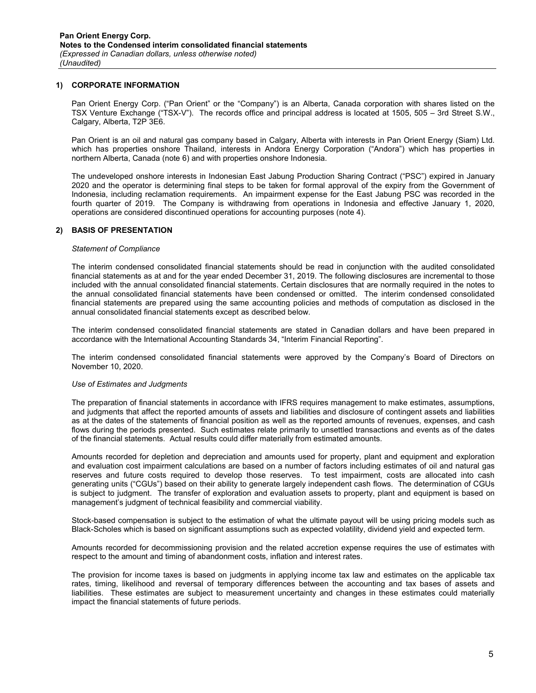#### 1) CORPORATE INFORMATION

Pan Orient Energy Corp. ("Pan Orient" or the "Company") is an Alberta, Canada corporation with shares listed on the TSX Venture Exchange ("TSX-V"). The records office and principal address is located at 1505, 505 – 3rd Street S.W., Calgary, Alberta, T2P 3E6.

Pan Orient is an oil and natural gas company based in Calgary, Alberta with interests in Pan Orient Energy (Siam) Ltd. which has properties onshore Thailand, interests in Andora Energy Corporation ("Andora") which has properties in northern Alberta, Canada (note 6) and with properties onshore Indonesia.

The undeveloped onshore interests in Indonesian East Jabung Production Sharing Contract ("PSC") expired in January 2020 and the operator is determining final steps to be taken for formal approval of the expiry from the Government of Indonesia, including reclamation requirements. An impairment expense for the East Jabung PSC was recorded in the fourth quarter of 2019. The Company is withdrawing from operations in Indonesia and effective January 1, 2020, operations are considered discontinued operations for accounting purposes (note 4).

#### 2) BASIS OF PRESENTATION

#### Statement of Compliance

The interim condensed consolidated financial statements should be read in conjunction with the audited consolidated financial statements as at and for the year ended December 31, 2019. The following disclosures are incremental to those included with the annual consolidated financial statements. Certain disclosures that are normally required in the notes to the annual consolidated financial statements have been condensed or omitted. The interim condensed consolidated financial statements are prepared using the same accounting policies and methods of computation as disclosed in the annual consolidated financial statements except as described below.

The interim condensed consolidated financial statements are stated in Canadian dollars and have been prepared in accordance with the International Accounting Standards 34, "Interim Financial Reporting".

The interim condensed consolidated financial statements were approved by the Company's Board of Directors on November 10, 2020.

#### Use of Estimates and Judgments

The preparation of financial statements in accordance with IFRS requires management to make estimates, assumptions, and judgments that affect the reported amounts of assets and liabilities and disclosure of contingent assets and liabilities as at the dates of the statements of financial position as well as the reported amounts of revenues, expenses, and cash flows during the periods presented. Such estimates relate primarily to unsettled transactions and events as of the dates of the financial statements. Actual results could differ materially from estimated amounts.

Amounts recorded for depletion and depreciation and amounts used for property, plant and equipment and exploration and evaluation cost impairment calculations are based on a number of factors including estimates of oil and natural gas reserves and future costs required to develop those reserves. To test impairment, costs are allocated into cash generating units ("CGUs") based on their ability to generate largely independent cash flows. The determination of CGUs is subject to judgment. The transfer of exploration and evaluation assets to property, plant and equipment is based on management's judgment of technical feasibility and commercial viability.

Stock-based compensation is subject to the estimation of what the ultimate payout will be using pricing models such as Black-Scholes which is based on significant assumptions such as expected volatility, dividend yield and expected term.

Amounts recorded for decommissioning provision and the related accretion expense requires the use of estimates with respect to the amount and timing of abandonment costs, inflation and interest rates.

The provision for income taxes is based on judgments in applying income tax law and estimates on the applicable tax rates, timing, likelihood and reversal of temporary differences between the accounting and tax bases of assets and liabilities. These estimates are subject to measurement uncertainty and changes in these estimates could materially impact the financial statements of future periods.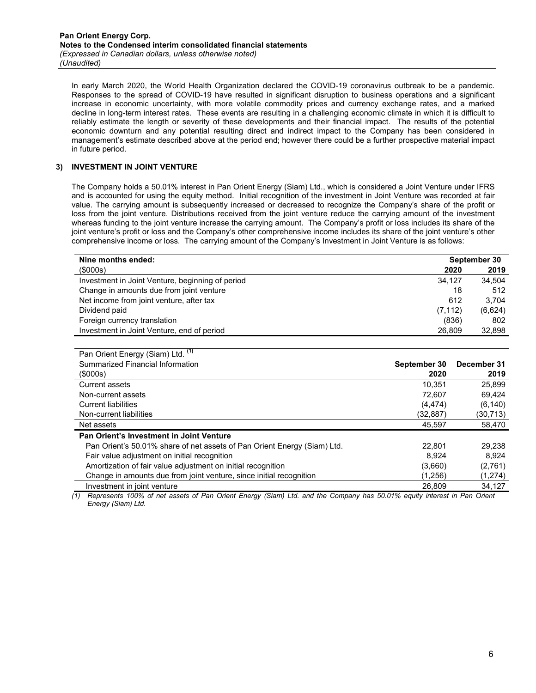In early March 2020, the World Health Organization declared the COVID-19 coronavirus outbreak to be a pandemic. Responses to the spread of COVID-19 have resulted in significant disruption to business operations and a significant increase in economic uncertainty, with more volatile commodity prices and currency exchange rates, and a marked decline in long-term interest rates. These events are resulting in a challenging economic climate in which it is difficult to reliably estimate the length or severity of these developments and their financial impact. The results of the potential economic downturn and any potential resulting direct and indirect impact to the Company has been considered in management's estimate described above at the period end; however there could be a further prospective material impact in future period.

# 3) INVESTMENT IN JOINT VENTURE

The Company holds a 50.01% interest in Pan Orient Energy (Siam) Ltd., which is considered a Joint Venture under IFRS and is accounted for using the equity method. Initial recognition of the investment in Joint Venture was recorded at fair value. The carrying amount is subsequently increased or decreased to recognize the Company's share of the profit or loss from the joint venture. Distributions received from the joint venture reduce the carrying amount of the investment whereas funding to the joint venture increase the carrying amount. The Company's profit or loss includes its share of the joint venture's profit or loss and the Company's other comprehensive income includes its share of the joint venture's other comprehensive income or loss. The carrying amount of the Company's Investment in Joint Venture is as follows:

| Nine months ended:                               | September 30 |         |
|--------------------------------------------------|--------------|---------|
| $($ \$000s $)$                                   | 2020         | 2019    |
| Investment in Joint Venture, beginning of period | 34.127       | 34.504  |
| Change in amounts due from joint venture         | 18           | 512     |
| Net income from joint venture, after tax         | 612          | 3.704   |
| Dividend paid                                    | (7, 112)     | (6,624) |
| Foreign currency translation                     | (836)        | 802     |
| Investment in Joint Venture, end of period       | 26.809       | 32,898  |

| Pan Orient Energy (Siam) Ltd. <sup>(1)</sup>                             |              |             |
|--------------------------------------------------------------------------|--------------|-------------|
| Summarized Financial Information                                         | September 30 | December 31 |
| (0.000s)                                                                 | 2020         | 2019        |
| <b>Current assets</b>                                                    | 10.351       | 25,899      |
| Non-current assets                                                       | 72.607       | 69.424      |
| <b>Current liabilities</b>                                               | (4, 474)     | (6, 140)    |
| Non-current liabilities                                                  | (32,887)     | (30,713)    |
| Net assets                                                               | 45,597       | 58,470      |
| Pan Orient's Investment in Joint Venture                                 |              |             |
| Pan Orient's 50.01% share of net assets of Pan Orient Energy (Siam) Ltd. | 22,801       | 29.238      |
| Fair value adjustment on initial recognition                             | 8.924        | 8.924       |
| Amortization of fair value adjustment on initial recognition             | (3,660)      | (2,761)     |
| Change in amounts due from joint venture, since initial recognition      | (1,256)      | (1,274)     |
| Investment in joint venture                                              | 26.809       | 34,127      |
| $\sim$ $\sim$ $\sim$<br>$\sim$<br>$\cdots$<br>$\sim$ $\sim$              |              |             |

(1) Represents 100% of net assets of Pan Orient Energy (Siam) Ltd. and the Company has 50.01% equity interest in Pan Orient Energy (Siam) Ltd.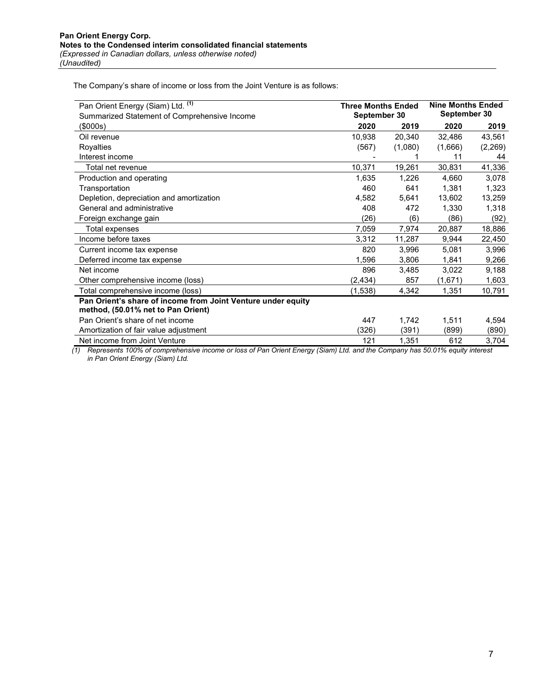The Company's share of income or loss from the Joint Venture is as follows:

| Pan Orient Energy (Siam) Ltd. (1)<br>Summarized Statement of Comprehensive Income | <b>Three Months Ended</b><br>September 30 |         | <b>Nine Months Ended</b><br>September 30 |          |
|-----------------------------------------------------------------------------------|-------------------------------------------|---------|------------------------------------------|----------|
| (\$000s)                                                                          | 2020                                      | 2019    | 2020                                     | 2019     |
| Oil revenue                                                                       | 10,938                                    | 20,340  | 32,486                                   | 43,561   |
| Royalties                                                                         | (567)                                     | (1,080) | (1,666)                                  | (2, 269) |
| Interest income                                                                   |                                           |         | 11                                       | 44       |
| Total net revenue                                                                 | 10,371                                    | 19,261  | 30,831                                   | 41,336   |
| Production and operating                                                          | 1,635                                     | 1,226   | 4,660                                    | 3,078    |
| Transportation                                                                    | 460                                       | 641     | 1,381                                    | 1,323    |
| Depletion, depreciation and amortization                                          | 4,582                                     | 5,641   | 13,602                                   | 13,259   |
| General and administrative                                                        | 408                                       | 472     | 1,330                                    | 1,318    |
| Foreign exchange gain                                                             | (26)                                      | (6)     | (86)                                     | (92)     |
| Total expenses                                                                    | 7,059                                     | 7,974   | 20,887                                   | 18,886   |
| Income before taxes                                                               | 3,312                                     | 11,287  | 9,944                                    | 22,450   |
| Current income tax expense                                                        | 820                                       | 3,996   | 5,081                                    | 3,996    |
| Deferred income tax expense                                                       | 1,596                                     | 3,806   | 1,841                                    | 9,266    |
| Net income                                                                        | 896                                       | 3,485   | 3,022                                    | 9,188    |
| Other comprehensive income (loss)                                                 | (2, 434)                                  | 857     | (1,671)                                  | 1,603    |
| Total comprehensive income (loss)                                                 | (1,538)                                   | 4,342   | 1,351                                    | 10,791   |
| Pan Orient's share of income from Joint Venture under equity                      |                                           |         |                                          |          |
| method, (50.01% net to Pan Orient)                                                |                                           |         |                                          |          |
| Pan Orient's share of net income                                                  | 447                                       | 1,742   | 1,511                                    | 4,594    |
| Amortization of fair value adjustment                                             | (326)                                     | (391)   | (899)                                    | (890)    |
| Net income from Joint Venture                                                     | 121                                       | 1,351   | 612                                      | 3,704    |

(1) Represents 100% of comprehensive income or loss of Pan Orient Energy (Siam) Ltd. and the Company has 50.01% equity interest in Pan Orient Energy (Siam) Ltd.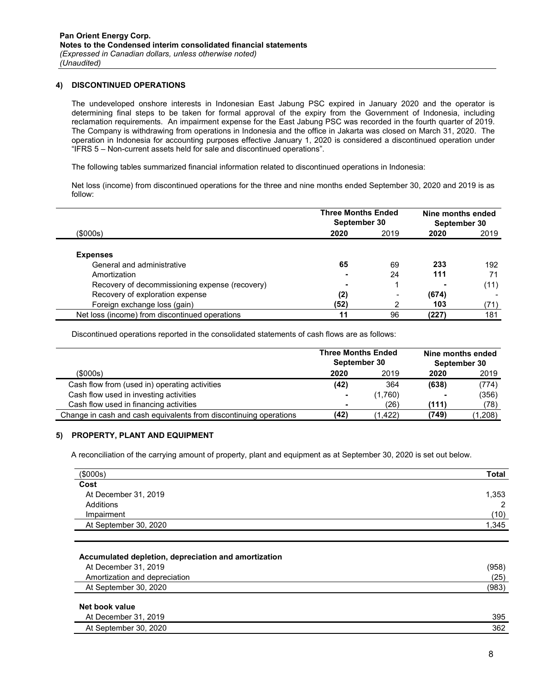#### 4) DISCONTINUED OPERATIONS

The undeveloped onshore interests in Indonesian East Jabung PSC expired in January 2020 and the operator is determining final steps to be taken for formal approval of the expiry from the Government of Indonesia, including reclamation requirements. An impairment expense for the East Jabung PSC was recorded in the fourth quarter of 2019. The Company is withdrawing from operations in Indonesia and the office in Jakarta was closed on March 31, 2020. The operation in Indonesia for accounting purposes effective January 1, 2020 is considered a discontinued operation under "IFRS 5 – Non-current assets held for sale and discontinued operations".

The following tables summarized financial information related to discontinued operations in Indonesia:

Net loss (income) from discontinued operations for the three and nine months ended September 30, 2020 and 2019 is as follow:

|                                                | <b>Three Months Ended</b><br>September 30 |      | Nine months ended<br>September 30 |      |
|------------------------------------------------|-------------------------------------------|------|-----------------------------------|------|
| (\$000s)                                       | 2020                                      | 2019 | 2020                              | 2019 |
| <b>Expenses</b>                                |                                           |      |                                   |      |
| General and administrative                     | 65                                        | 69   | 233                               | 192  |
| Amortization                                   |                                           | 24   | 111                               | 71   |
| Recovery of decommissioning expense (recovery) |                                           |      |                                   | (11) |
| Recovery of exploration expense                | (2)                                       |      | (674)                             |      |
| Foreign exchange loss (gain)                   | (52)                                      |      | 103                               | (71) |
| Net loss (income) from discontinued operations | 11                                        | 96   | (227)                             | 181  |

Discontinued operations reported in the consolidated statements of cash flows are as follows:

|                                                                   | <b>Three Months Ended</b><br>September 30 |         | Nine months ended<br>September 30 |         |
|-------------------------------------------------------------------|-------------------------------------------|---------|-----------------------------------|---------|
| (\$000s)                                                          | 2020                                      | 2019    | 2020                              | 2019    |
| Cash flow from (used in) operating activities                     | (42)                                      | 364     | (638)                             | (774)   |
| Cash flow used in investing activities                            | $\blacksquare$                            | (1,760) | $\overline{\phantom{a}}$          | (356)   |
| Cash flow used in financing activities                            |                                           | (26)    | (111)                             | (78)    |
| Change in cash and cash equivalents from discontinuing operations | (42)                                      | (1.422) | (749)                             | (1,208) |

#### 5) PROPERTY, PLANT AND EQUIPMENT

A reconciliation of the carrying amount of property, plant and equipment as at September 30, 2020 is set out below.

| <b>Total</b> |
|--------------|
|              |
| 1,353        |
| 2            |
| (10)         |
| 1,345        |
|              |

#### Accumulated depletion, depreciation and amortization

| At December 31, 2019          | (958) |
|-------------------------------|-------|
| Amortization and depreciation | (25)  |
| At September 30, 2020         | (983) |
|                               |       |

# Net book value

| December<br>่าเ<br>---        | 395 |
|-------------------------------|-----|
| 2020<br>30<br>September<br>Λ, | 362 |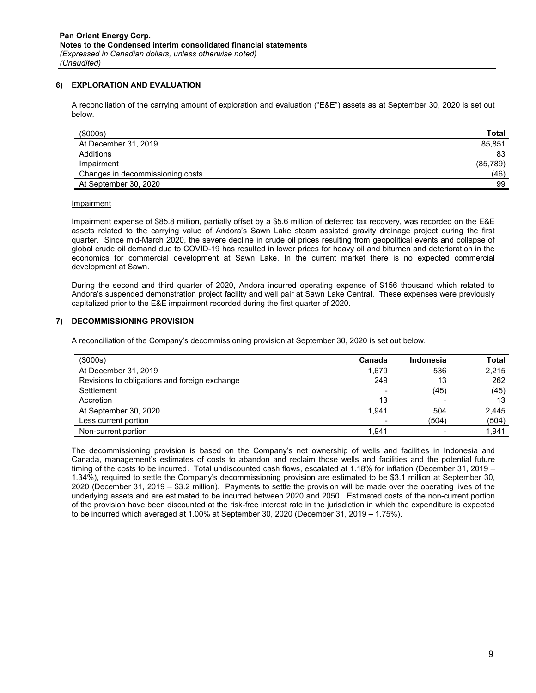### 6) EXPLORATION AND EVALUATION

A reconciliation of the carrying amount of exploration and evaluation ("E&E") assets as at September 30, 2020 is set out below.

| (\$000s)                         | <b>Total</b> |
|----------------------------------|--------------|
| At December 31, 2019             | 85,851       |
| Additions                        | 83           |
| Impairment                       | (85,789)     |
| Changes in decommissioning costs | (46)         |
| At September 30, 2020            | 99           |

#### Impairment

Impairment expense of \$85.8 million, partially offset by a \$5.6 million of deferred tax recovery, was recorded on the E&E assets related to the carrying value of Andora's Sawn Lake steam assisted gravity drainage project during the first quarter. Since mid-March 2020, the severe decline in crude oil prices resulting from geopolitical events and collapse of global crude oil demand due to COVID-19 has resulted in lower prices for heavy oil and bitumen and deterioration in the economics for commercial development at Sawn Lake. In the current market there is no expected commercial development at Sawn.

During the second and third quarter of 2020, Andora incurred operating expense of \$156 thousand which related to Andora's suspended demonstration project facility and well pair at Sawn Lake Central. These expenses were previously capitalized prior to the E&E impairment recorded during the first quarter of 2020.

#### 7) DECOMMISSIONING PROVISION

A reconciliation of the Company's decommissioning provision at September 30, 2020 is set out below.

| (\$000s)                                      | Canada | Indonesia | <b>Total</b> |
|-----------------------------------------------|--------|-----------|--------------|
| At December 31, 2019                          | 1.679  | 536       | 2,215        |
| Revisions to obligations and foreign exchange | 249    | 13        | 262          |
| Settlement                                    |        | (45)      | (45)         |
| Accretion                                     | 13     |           | 13           |
| At September 30, 2020                         | 1.941  | 504       | 2.445        |
| Less current portion                          |        | (504)     | (504)        |
| Non-current portion                           | 1.941  |           | 1,941        |

The decommissioning provision is based on the Company's net ownership of wells and facilities in Indonesia and Canada, management's estimates of costs to abandon and reclaim those wells and facilities and the potential future timing of the costs to be incurred. Total undiscounted cash flows, escalated at 1.18% for inflation (December 31, 2019 – 1.34%), required to settle the Company's decommissioning provision are estimated to be \$3.1 million at September 30, 2020 (December 31, 2019 – \$3.2 million). Payments to settle the provision will be made over the operating lives of the underlying assets and are estimated to be incurred between 2020 and 2050. Estimated costs of the non-current portion of the provision have been discounted at the risk-free interest rate in the jurisdiction in which the expenditure is expected to be incurred which averaged at 1.00% at September 30, 2020 (December 31, 2019 – 1.75%).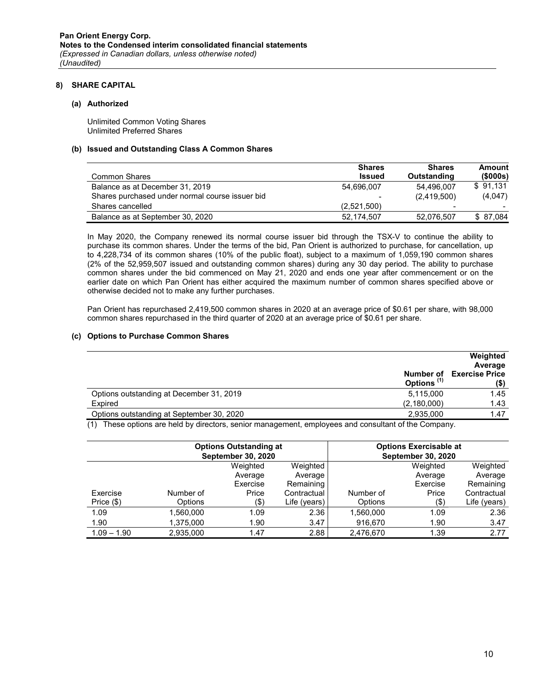#### 8) SHARE CAPITAL

#### (a) Authorized

Unlimited Common Voting Shares Unlimited Preferred Shares

#### (b) Issued and Outstanding Class A Common Shares

|                                                 | <b>Shares</b>            | <b>Shares</b>            | Amount                   |
|-------------------------------------------------|--------------------------|--------------------------|--------------------------|
| <b>Common Shares</b>                            | <b>Issued</b>            | Outstanding              | (\$000s)                 |
| Balance as at December 31, 2019                 | 54.696.007               | 54.496.007               | \$91.131                 |
| Shares purchased under normal course issuer bid | $\overline{\phantom{0}}$ | (2,419,500)              | (4,047)                  |
| Shares cancelled                                | (2,521,500)              | $\overline{\phantom{a}}$ | $\overline{\phantom{0}}$ |
| Balance as at September 30, 2020                | 52,174,507               | 52,076,507               | \$ 87,084                |

In May 2020, the Company renewed its normal course issuer bid through the TSX-V to continue the ability to purchase its common shares. Under the terms of the bid, Pan Orient is authorized to purchase, for cancellation, up to 4,228,734 of its common shares (10% of the public float), subject to a maximum of 1,059,190 common shares (2% of the 52,959,507 issued and outstanding common shares) during any 30 day period. The ability to purchase common shares under the bid commenced on May 21, 2020 and ends one year after commencement or on the earlier date on which Pan Orient has either acquired the maximum number of common shares specified above or otherwise decided not to make any further purchases.

Pan Orient has repurchased 2,419,500 common shares in 2020 at an average price of \$0.61 per share, with 98,000 common shares repurchased in the third quarter of 2020 at an average price of \$0.61 per share.

#### (c) Options to Purchase Common Shares

| Options <sup>(1)</sup>                                 | Weighted<br>Average<br><b>Number of Exercise Price</b><br>(\$) |
|--------------------------------------------------------|----------------------------------------------------------------|
| 5,115,000<br>Options outstanding at December 31, 2019  | 1.45                                                           |
| Expired<br>(2, 180, 000)                               | 1.43                                                           |
| Options outstanding at September 30, 2020<br>2,935,000 | 1.47                                                           |

(1) These options are held by directors, senior management, employees and consultant of the Company.

|               |           | <b>Options Outstanding at</b><br><b>September 30, 2020</b> |              |           | <b>Options Exercisable at</b><br><b>September 30, 2020</b> |              |
|---------------|-----------|------------------------------------------------------------|--------------|-----------|------------------------------------------------------------|--------------|
|               |           | Weighted                                                   | Weighted     |           | Weighted                                                   | Weighted     |
|               |           | Average                                                    | Average      |           | Average                                                    | Average      |
|               |           | Exercise                                                   | Remaining    |           | Exercise                                                   | Remaining    |
| Exercise      | Number of | Price                                                      | Contractual  | Number of | Price                                                      | Contractual  |
| Price $(\$)$  | Options   | $($ \$                                                     | Life (years) | Options   | (3)                                                        | Life (years) |
| 1.09          | 1,560,000 | 1.09                                                       | 2.36         | 1,560,000 | 1.09                                                       | 2.36         |
| 1.90          | 1,375,000 | 1.90                                                       | 3.47         | 916,670   | 1.90                                                       | 3.47         |
| $1.09 - 1.90$ | 2,935,000 | 1.47                                                       | 2.88         | 2,476,670 | 1.39                                                       | 2.77         |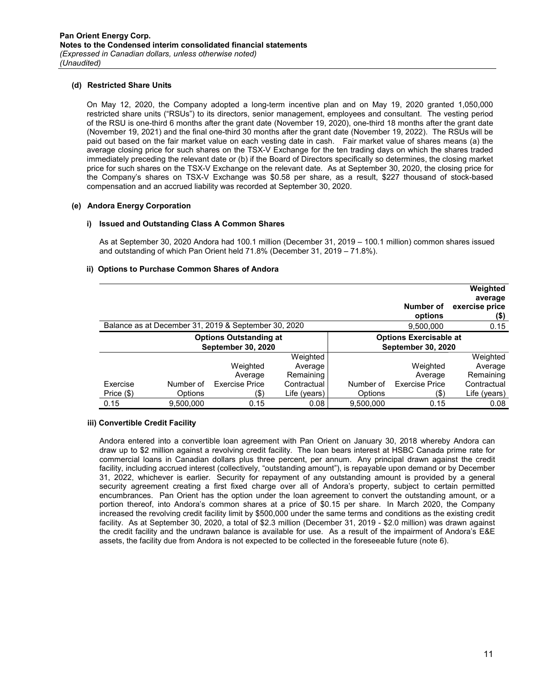#### (d) Restricted Share Units

On May 12, 2020, the Company adopted a long-term incentive plan and on May 19, 2020 granted 1,050,000 restricted share units ("RSUs") to its directors, senior management, employees and consultant. The vesting period of the RSU is one-third 6 months after the grant date (November 19, 2020), one-third 18 months after the grant date (November 19, 2021) and the final one-third 30 months after the grant date (November 19, 2022). The RSUs will be paid out based on the fair market value on each vesting date in cash. Fair market value of shares means (a) the average closing price for such shares on the TSX-V Exchange for the ten trading days on which the shares traded immediately preceding the relevant date or (b) if the Board of Directors specifically so determines, the closing market price for such shares on the TSX-V Exchange on the relevant date. As at September 30, 2020, the closing price for the Company's shares on TSX-V Exchange was \$0.58 per share, as a result, \$227 thousand of stock-based compensation and an accrued liability was recorded at September 30, 2020.

#### (e) Andora Energy Corporation

#### i) Issued and Outstanding Class A Common Shares

As at September 30, 2020 Andora had 100.1 million (December 31, 2019 – 100.1 million) common shares issued and outstanding of which Pan Orient held 71.8% (December 31, 2019 – 71.8%).

#### ii) Options to Purchase Common Shares of Andora

|            |                                                            |                                                      |                                                 |           | Number of<br>options                                       | Weighted<br>average<br>exercise price<br>(\$)   |  |  |
|------------|------------------------------------------------------------|------------------------------------------------------|-------------------------------------------------|-----------|------------------------------------------------------------|-------------------------------------------------|--|--|
|            |                                                            | Balance as at December 31, 2019 & September 30, 2020 |                                                 |           | 9,500,000                                                  | 0.15                                            |  |  |
|            | <b>Options Outstanding at</b><br><b>September 30, 2020</b> |                                                      |                                                 |           | <b>Options Exercisable at</b><br><b>September 30, 2020</b> |                                                 |  |  |
| Exercise   | Number of                                                  | Weighted<br>Average<br><b>Exercise Price</b>         | Weighted<br>Average<br>Remaining<br>Contractual | Number of | Weighted<br>Average<br><b>Exercise Price</b>               | Weighted<br>Average<br>Remaining<br>Contractual |  |  |
| Price (\$) | Options                                                    | (\$)                                                 | Life (years)                                    | Options   | (\$)                                                       | Life (years)                                    |  |  |
| 0.15       | 9,500,000                                                  | 0.15                                                 | 0.08                                            | 9,500,000 | 0.15                                                       | 0.08                                            |  |  |

#### iii) Convertible Credit Facility

Andora entered into a convertible loan agreement with Pan Orient on January 30, 2018 whereby Andora can draw up to \$2 million against a revolving credit facility. The loan bears interest at HSBC Canada prime rate for commercial loans in Canadian dollars plus three percent, per annum. Any principal drawn against the credit facility, including accrued interest (collectively, "outstanding amount"), is repayable upon demand or by December 31, 2022, whichever is earlier. Security for repayment of any outstanding amount is provided by a general security agreement creating a first fixed charge over all of Andora's property, subject to certain permitted encumbrances. Pan Orient has the option under the loan agreement to convert the outstanding amount, or a portion thereof, into Andora's common shares at a price of \$0.15 per share. In March 2020, the Company increased the revolving credit facility limit by \$500,000 under the same terms and conditions as the existing credit facility. As at September 30, 2020, a total of \$2.3 million (December 31, 2019 - \$2.0 million) was drawn against the credit facility and the undrawn balance is available for use. As a result of the impairment of Andora's E&E assets, the facility due from Andora is not expected to be collected in the foreseeable future (note 6).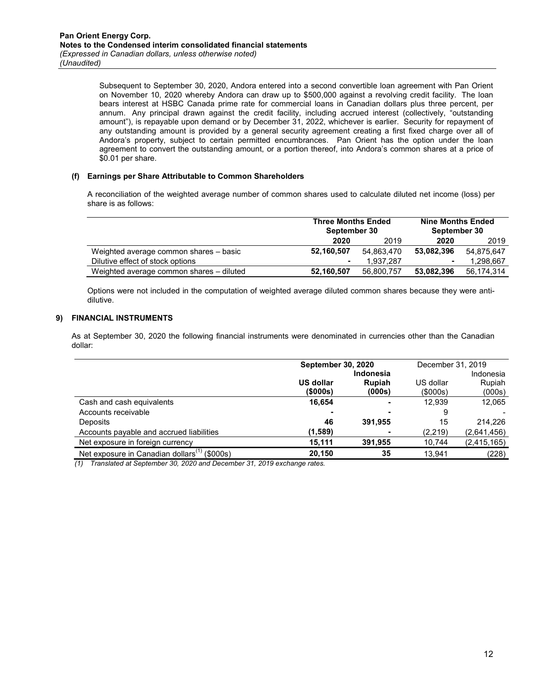Subsequent to September 30, 2020, Andora entered into a second convertible loan agreement with Pan Orient on November 10, 2020 whereby Andora can draw up to \$500,000 against a revolving credit facility. The loan bears interest at HSBC Canada prime rate for commercial loans in Canadian dollars plus three percent, per annum. Any principal drawn against the credit facility, including accrued interest (collectively, "outstanding amount"), is repayable upon demand or by December 31, 2022, whichever is earlier. Security for repayment of any outstanding amount is provided by a general security agreement creating a first fixed charge over all of Andora's property, subject to certain permitted encumbrances. Pan Orient has the option under the loan agreement to convert the outstanding amount, or a portion thereof, into Andora's common shares at a price of \$0.01 per share.

#### (f) Earnings per Share Attributable to Common Shareholders

A reconciliation of the weighted average number of common shares used to calculate diluted net income (loss) per share is as follows:

|                                          | <b>Three Months Ended</b><br>September 30 |            | <b>Nine Months Ended</b><br>September 30 |            |
|------------------------------------------|-------------------------------------------|------------|------------------------------------------|------------|
|                                          | 2020                                      | 2019       | 2020                                     | 2019       |
| Weighted average common shares – basic   | 52.160.507                                | 54.863.470 | 53.082.396                               | 54.875.647 |
| Dilutive effect of stock options         | $\blacksquare$                            | 1.937.287  |                                          | 1.298.667  |
| Weighted average common shares - diluted | 52,160,507                                | 56,800,757 | 53,082,396                               | 56,174,314 |

Options were not included in the computation of weighted average diluted common shares because they were antidilutive.

# 9) FINANCIAL INSTRUMENTS

As at September 30, 2020 the following financial instruments were denominated in currencies other than the Canadian dollar:

|                                                          | <b>September 30, 2020</b> |                  | December 31, 2019 |               |  |
|----------------------------------------------------------|---------------------------|------------------|-------------------|---------------|--|
|                                                          |                           | <b>Indonesia</b> |                   | Indonesia     |  |
|                                                          | <b>US dollar</b>          | <b>Rupiah</b>    | US dollar         | Rupiah        |  |
|                                                          | (\$000s)                  | (000s)           | $($ \$000s $)$    | (000s)        |  |
| Cash and cash equivalents                                | 16,654                    | ۰                | 12.939            | 12.065        |  |
| Accounts receivable                                      | ۰                         |                  | 9                 |               |  |
| Deposits                                                 | 46                        | 391,955          | 15                | 214.226       |  |
| Accounts payable and accrued liabilities                 | (1,589)                   | ٠                | (2,219)           | (2,641,456)   |  |
| Net exposure in foreign currency                         | 15,111                    | 391.955          | 10,744            | (2, 415, 165) |  |
| Net exposure in Canadian dollars <sup>(1)</sup> (\$000s) | 20,150                    | 35               | 13.941            | (228)         |  |

(1) Translated at September 30, 2020 and December 31, 2019 exchange rates.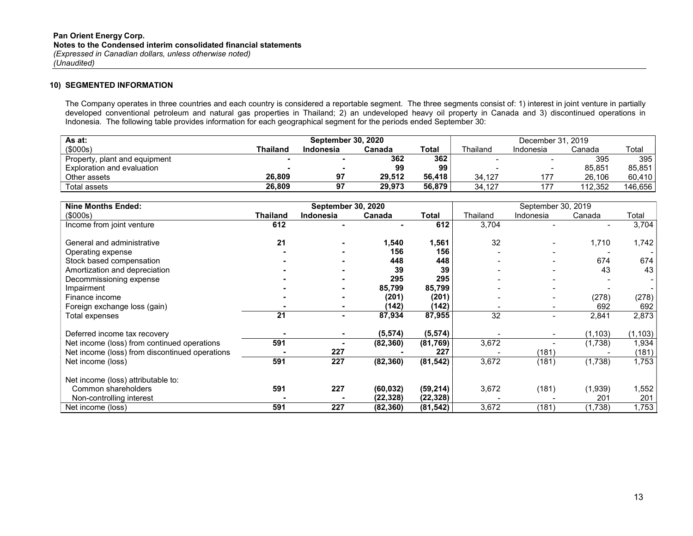#### 10) SEGMENTED INFORMATION

The Company operates in three countries and each country is considered a reportable segment. The three segments consist of: 1) interest in joint venture in partially developed conventional petroleum and natural gas properties in Thailand; 2) an undeveloped heavy oil property in Canada and 3) discontinued operations in Indonesia. The following table provides information for each geographical segment for the periods ended September 30:

| As at:                        |                 | September 30, 2020 |        |        |          | December 31, 2019        |         |         |
|-------------------------------|-----------------|--------------------|--------|--------|----------|--------------------------|---------|---------|
| (\$000s)                      | <b>Thailang</b> | Indonesia          | Canada | Total  | Thailand | Indonesia                | Canada  | Total   |
| Property, plant and equipment |                 |                    | 362    | 362    |          |                          | 395     | 395     |
| Exploration and evaluation    |                 |                    | 99     | 99     | . .      | $\overline{\phantom{a}}$ | 85.851  | 85.851  |
| Other assets                  | 26.809          |                    | 29.512 | 56.418 | 34.127   | 177                      | 26.106  | 60.410  |
| Total assets                  | 26.809          | ດ                  | 29.973 | 56.879 | 34,127   | 177                      | 112.352 | 146,656 |

| <b>Nine Months Ended:</b>                      |                 | <b>September 30, 2020</b> |           |           |          | September 30, 2019 |          |          |
|------------------------------------------------|-----------------|---------------------------|-----------|-----------|----------|--------------------|----------|----------|
| (\$000s)                                       | <b>Thailand</b> | Indonesia                 | Canada    | Total     | Thailand | Indonesia          | Canada   | Total    |
| Income from joint venture                      | 612             |                           |           | 612       | 3,704    |                    |          | 3,704    |
|                                                |                 |                           |           |           |          |                    |          |          |
| General and administrative                     | 21              |                           | 1,540     | 1,561     | 32       |                    | 1,710    | 1,742    |
| Operating expense                              |                 |                           | 156       | 156       |          |                    |          |          |
| Stock based compensation                       |                 |                           | 448       | 448       |          |                    | 674      | 674      |
| Amortization and depreciation                  |                 |                           | 39        | 39        |          |                    | 43       | 43       |
| Decommissioning expense                        |                 |                           | 295       | 295       |          |                    |          |          |
| Impairment                                     |                 |                           | 85,799    | 85,799    |          |                    |          |          |
| Finance income                                 |                 |                           | (201)     | (201)     |          |                    | (278)    | (278)    |
| Foreign exchange loss (gain)                   |                 |                           | (142)     | (142)     |          |                    | 692      | 692      |
| Total expenses                                 | 21              | $\blacksquare$            | 87,934    | 87,955    | 32       |                    | 2,841    | 2,873    |
| Deferred income tax recovery                   |                 |                           | (5, 574)  | (5,574)   |          |                    | (1, 103) | (1, 103) |
| Net income (loss) from continued operations    | 591             |                           | (82, 360) | (81,769)  | 3,672    |                    | (1,738)  | 1.934    |
| Net income (loss) from discontinued operations |                 | 227                       |           | 227       |          | (181)              |          | (181)    |
| Net income (loss)                              | 591             | 227                       | (82, 360) | (81, 542) | 3,672    | (181)              | (1,738)  | 1,753    |
| Net income (loss) attributable to:             |                 |                           |           |           |          |                    |          |          |
| Common shareholders                            | 591             | 227                       | (60, 032) | (59, 214) | 3,672    | (181)              | (1,939)  | 1,552    |
| Non-controlling interest                       |                 |                           | (22,328)  | (22, 328) |          |                    | 201      | 201      |
| Net income (loss)                              | 591             | 227                       | (82, 360) | (81, 542) | 3,672    | (181)              | (1,738)  | 1,753    |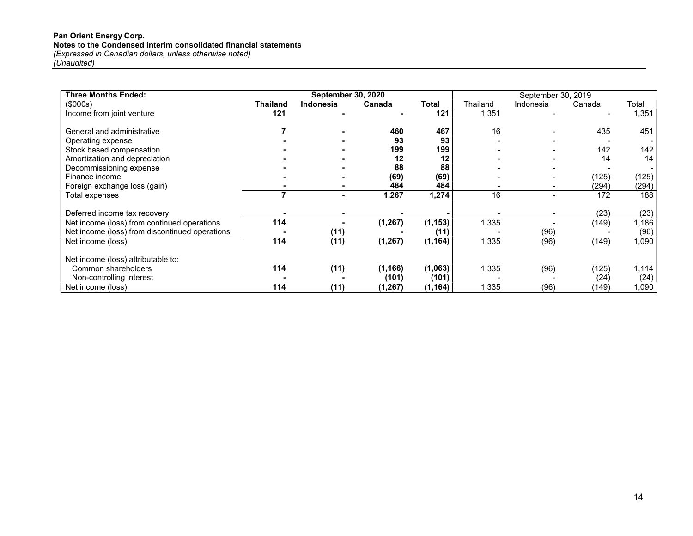| <b>Three Months Ended:</b>                     |                 | <b>September 30, 2020</b> |          |          |          | September 30, 2019 |        |                |
|------------------------------------------------|-----------------|---------------------------|----------|----------|----------|--------------------|--------|----------------|
| (\$000s)                                       | <b>Thailand</b> | <b>Indonesia</b>          | Canada   | Total    | Thailand | Indonesia          | Canada | Total          |
| Income from joint venture                      | 121             |                           |          | 121      | 1,351    |                    |        | 1,351          |
| General and administrative                     |                 |                           | 460      | 467      | 16       |                    | 435    | 451            |
| Operating expense                              |                 |                           | 93       | 93       |          |                    |        | $\blacksquare$ |
| Stock based compensation                       |                 |                           | 199      | 199      |          |                    | 142    | 142            |
| Amortization and depreciation                  |                 |                           | 12       | 12       |          |                    | 14     | 14             |
| Decommissioning expense                        |                 |                           | 88       | 88       |          |                    |        |                |
| Finance income                                 |                 |                           | (69)     | (69)     |          |                    | (125)  | (125)          |
| Foreign exchange loss (gain)                   |                 |                           | 484      | 484      |          |                    | (294)  | (294)          |
| Total expenses                                 |                 |                           | 1,267    | 1,274    | 16       |                    | 172    | 188            |
| Deferred income tax recovery                   |                 |                           |          |          |          |                    | (23)   | (23)           |
| Net income (loss) from continued operations    | 114             |                           | (1, 267) | (1, 153) | 1,335    |                    | (149)  | 1,186          |
| Net income (loss) from discontinued operations |                 | (11)                      |          | (11)     |          | (96)               |        | (96)           |
| Net income (loss)                              | 114             | (11)                      | (1, 267) | (1, 164) | 1,335    | (96)               | (149)  | 1,090          |
| Net income (loss) attributable to:             |                 |                           |          |          |          |                    |        |                |
| Common shareholders                            | 114             | (11)                      | (1, 166) | (1,063)  | 1,335    | (96)               | (125)  | 1,114          |
| Non-controlling interest                       |                 |                           | (101)    | (101)    |          |                    | (24)   | (24)           |
| Net income (loss)                              | 114             | (11)                      | (1, 267) | (1, 164) | 1,335    | (96)               | (149)  | 1,090          |